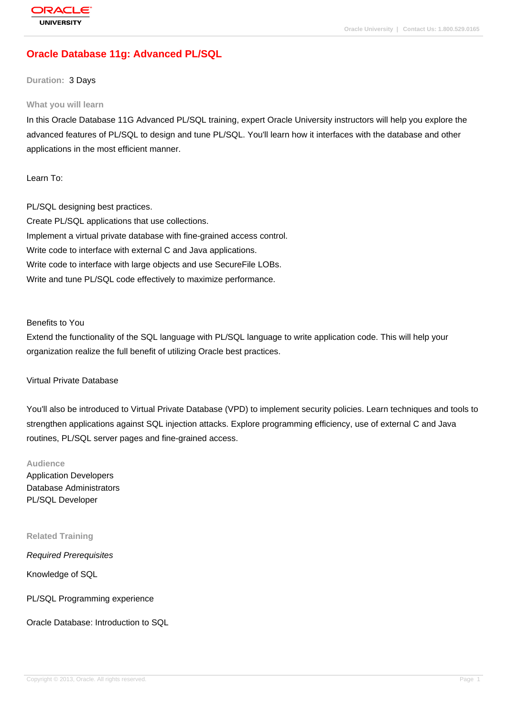# **[Oracle Databas](http://education.oracle.com/pls/web_prod-plq-dad/db_pages.getpage?page_id=3)e 11g: Advanced PL/SQL**

### **Duration:** 3 Days

#### **What you will learn**

In this Oracle Database 11G Advanced PL/SQL training, expert Oracle University instructors will help you explore the advanced features of PL/SQL to design and tune PL/SQL. You'll learn how it interfaces with the database and other applications in the most efficient manner.

Learn To:

PL/SQL designing best practices. Create PL/SQL applications that use collections. Implement a virtual private database with fine-grained access control. Write code to interface with external C and Java applications. Write code to interface with large objects and use SecureFile LOBs. Write and tune PL/SQL code effectively to maximize performance.

### Benefits to You

Extend the functionality of the SQL language with PL/SQL language to write application code. This will help your organization realize the full benefit of utilizing Oracle best practices.

### Virtual Private Database

You'll also be introduced to Virtual Private Database (VPD) to implement security policies. Learn techniques and tools to strengthen applications against SQL injection attacks. Explore programming efficiency, use of external C and Java routines, PL/SQL server pages and fine-grained access.

### **Audience**

Application Developers Database Administrators PL/SQL Developer

#### **Related Training**

Required Prerequisites

Knowledge of SQL

PL/SQL Programming experience

Oracle Database: Introduction to SQL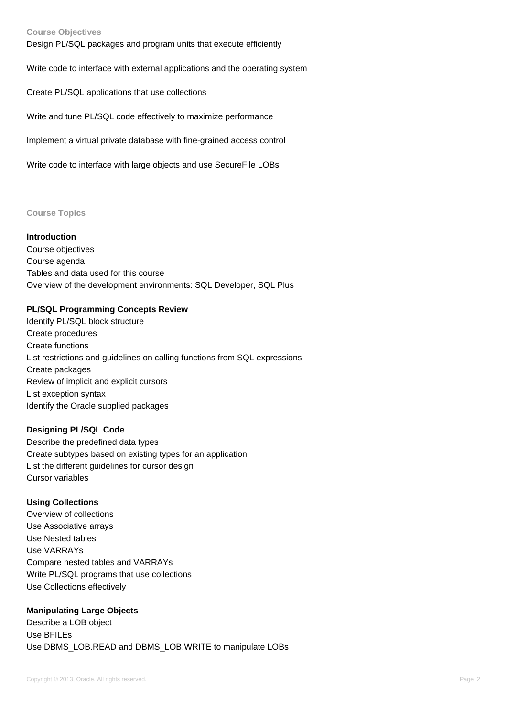### **Course Objectives**

Design PL/SQL packages and program units that execute efficiently

Write code to interface with external applications and the operating system

Create PL/SQL applications that use collections

Write and tune PL/SQL code effectively to maximize performance

Implement a virtual private database with fine-grained access control

Write code to interface with large objects and use SecureFile LOBs

#### **Course Topics**

#### **Introduction**

Course objectives Course agenda Tables and data used for this course Overview of the development environments: SQL Developer, SQL Plus

### **PL/SQL Programming Concepts Review**

Identify PL/SQL block structure Create procedures Create functions List restrictions and guidelines on calling functions from SQL expressions Create packages Review of implicit and explicit cursors List exception syntax Identify the Oracle supplied packages

### **Designing PL/SQL Code**

Describe the predefined data types Create subtypes based on existing types for an application List the different guidelines for cursor design Cursor variables

### **Using Collections**

Overview of collections Use Associative arrays Use Nested tables Use VARRAYs Compare nested tables and VARRAYs Write PL/SQL programs that use collections Use Collections effectively

### **Manipulating Large Objects**

Describe a LOB object Use BFILEs Use DBMS\_LOB.READ and DBMS\_LOB.WRITE to manipulate LOBs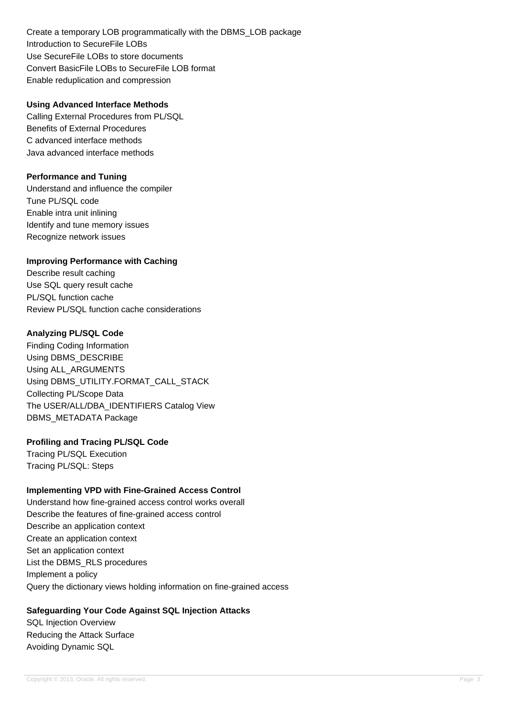Create a temporary LOB programmatically with the DBMS\_LOB package Introduction to SecureFile LOBs Use SecureFile LOBs to store documents Convert BasicFile LOBs to SecureFile LOB format Enable reduplication and compression

### **Using Advanced Interface Methods**

Calling External Procedures from PL/SQL Benefits of External Procedures C advanced interface methods Java advanced interface methods

## **Performance and Tuning**

Understand and influence the compiler Tune PL/SQL code Enable intra unit inlining Identify and tune memory issues Recognize network issues

## **Improving Performance with Caching**

Describe result caching Use SQL query result cache PL/SQL function cache Review PL/SQL function cache considerations

## **Analyzing PL/SQL Code**

Finding Coding Information Using DBMS\_DESCRIBE Using ALL\_ARGUMENTS Using DBMS\_UTILITY.FORMAT\_CALL\_STACK Collecting PL/Scope Data The USER/ALL/DBA\_IDENTIFIERS Catalog View DBMS\_METADATA Package

## **Profiling and Tracing PL/SQL Code**

Tracing PL/SQL Execution Tracing PL/SQL: Steps

## **Implementing VPD with Fine-Grained Access Control**

Understand how fine-grained access control works overall Describe the features of fine-grained access control Describe an application context Create an application context Set an application context List the DBMS\_RLS procedures Implement a policy Query the dictionary views holding information on fine-grained access

## **Safeguarding Your Code Against SQL Injection Attacks**

SQL Injection Overview Reducing the Attack Surface Avoiding Dynamic SQL